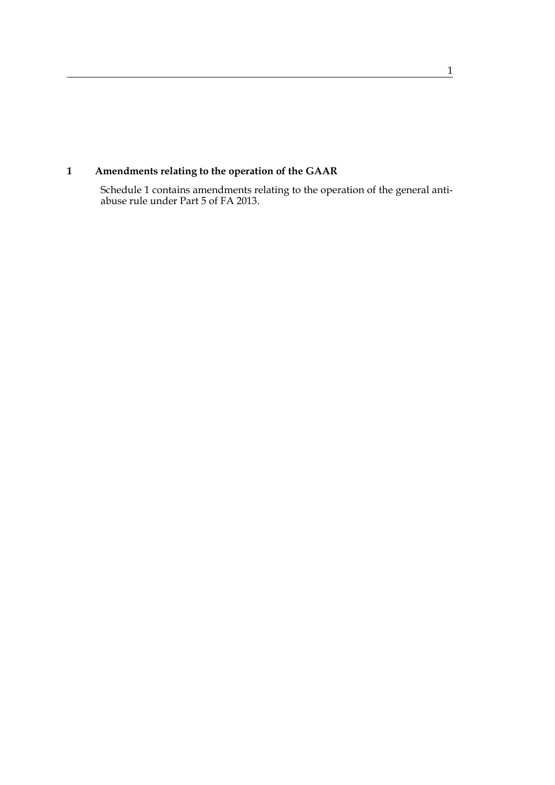# **1 Amendments relating to the operation of the GAAR**

Schedule 1 contains amendments relating to the operation of the general antiabuse rule under Part 5 of FA 2013.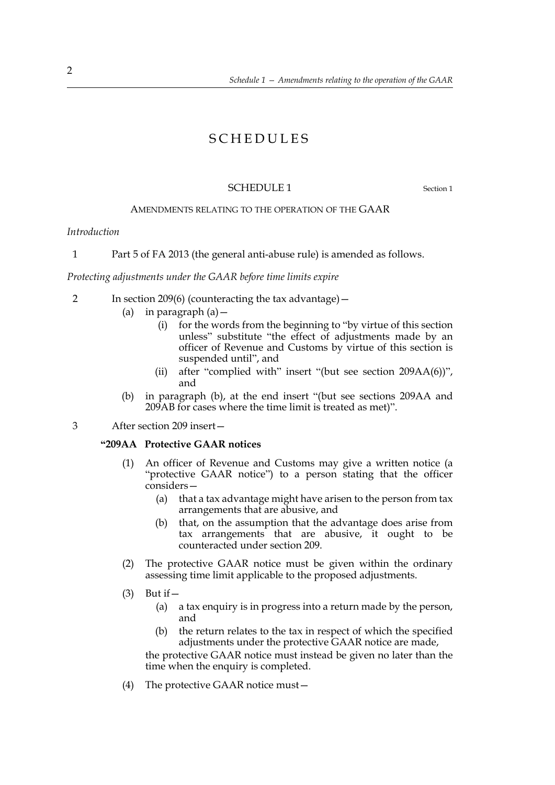## SCHEDULES

#### SCHEDULE 1 Section 1

#### AMENDMENTS RELATING TO THE OPERATION OF THE GAAR

#### *Introduction*

1 Part 5 of FA 2013 (the general anti-abuse rule) is amended as follows.

#### *Protecting adjustments under the GAAR before time limits expire*

- 2 In section 209(6) (counteracting the tax advantage)—
	- (a) in paragraph  $(a)$  -
		- (i) for the words from the beginning to "by virtue of this section unless" substitute "the effect of adjustments made by an officer of Revenue and Customs by virtue of this section is suspended until", and
		- (ii) after "complied with" insert "(but see section  $209AA(6)$ ", and
	- (b) in paragraph (b), at the end insert "(but see sections 209AA and 209AB for cases where the time limit is treated as met)".

3 After section 209 insert—

### **"209AA Protective GAAR notices**

- (1) An officer of Revenue and Customs may give a written notice (a "protective GAAR notice") to a person stating that the officer considers—
	- (a) that a tax advantage might have arisen to the person from tax arrangements that are abusive, and
	- (b) that, on the assumption that the advantage does arise from tax arrangements that are abusive, it ought to be counteracted under section 209.
- (2) The protective GAAR notice must be given within the ordinary assessing time limit applicable to the proposed adjustments.
- $(3)$  But if  $-$ 
	- (a) a tax enquiry is in progress into a return made by the person, and
	- adjustments under the protective GAAR notice are made, (b) the return relates to the tax in respect of which the specified

the protective GAAR notice must instead be given no later than the time when the enquiry is completed.

(4) The protective GAAR notice must  $-$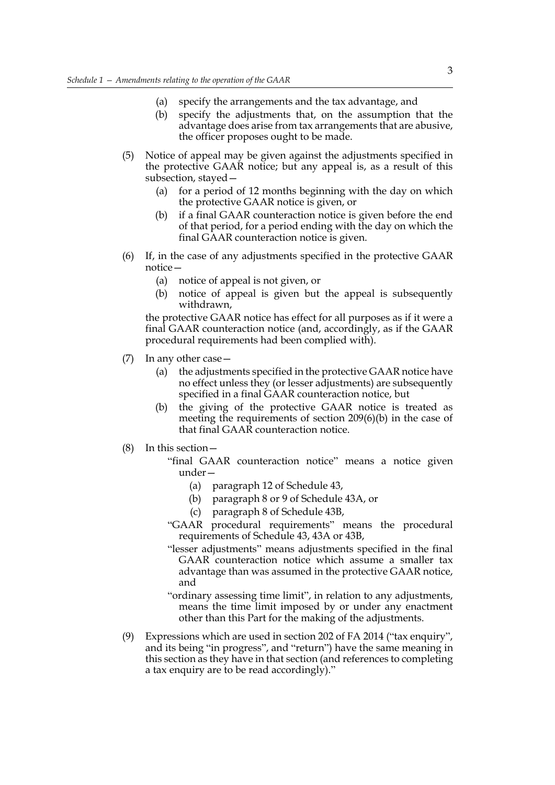- (a) specify the arrangements and the tax advantage, and
- (b) specify the adjustments that, on the assumption that the advantage does arise from tax arrangements that are abusive, the officer proposes ought to be made.
- (5) Notice of appeal may be given against the adjustments specified in the protective GAAR notice; but any appeal is, as a result of this subsection, stayed—
	- the protective GAAR notice is given, or (a) for a period of 12 months beginning with the day on which
	- (b) if a final GAAR counteraction notice is given before the end of that period, for a period ending with the day on which the final GAAR counteraction notice is given.
- (6) If, in the case of any adjustments specified in the protective GAAR notice—
	- (a) notice of appeal is not given, or
	- (b) notice of appeal is given but the appeal is subsequently withdrawn,

the protective GAAR notice has effect for all purposes as if it were a final GAAR counteraction notice (and, accordingly, as if the GAAR procedural requirements had been complied with).

- (7) In any other case  $-$ 
	- (a) the adjustments specified in the protective GAAR notice have no effect unless they (or lesser adjustments) are subsequently specified in a final GAAR counteraction notice, but
	- (b) the giving of the protective GAAR notice is treated as meeting the requirements of section 209(6)(b) in the case of that final GAAR counteraction notice.
- $(8)$  In this section  $-$ 
	- "final GAAR counteraction notice" means a notice given under—
		- (a) paragraph 12 of Schedule 43,
		- (b) paragraph 8 or 9 of Schedule 43A, or
		- (c) paragraph 8 of Schedule 43B,
	- "GAAR procedural requirements" means the procedural requirements of Schedule 43, 43A or 43B,
	- "lesser adjustments" means adjustments specified in the final GAAR counteraction notice which assume a smaller tax advantage than was assumed in the protective GAAR notice, and
	- means the time limit imposed by or under any enactment "ordinary assessing time limit", in relation to any adjustments, other than this Part for the making of the adjustments.
- this section as they have in that section (and references to completing (9) Expressions which are used in section 202 of FA 2014 ("tax enquiry", and its being "in progress", and "return") have the same meaning in a tax enquiry are to be read accordingly)."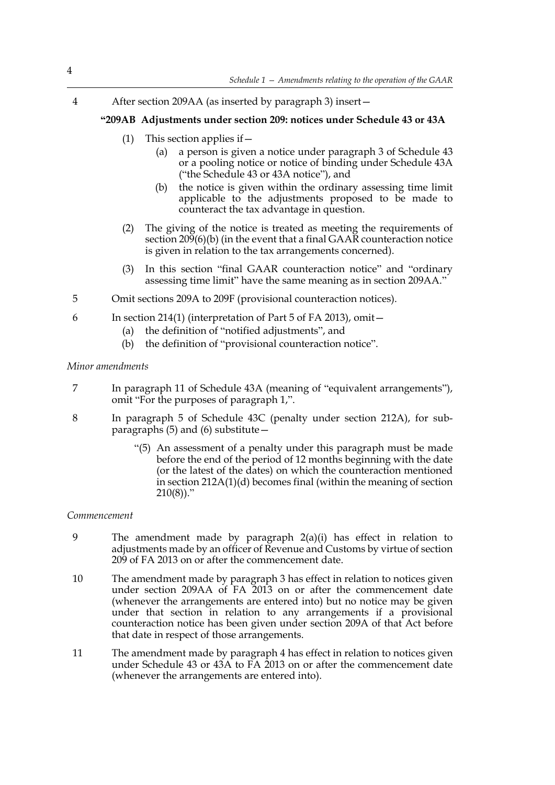4 After section 209AA (as inserted by paragraph 3) insert—

#### **"209AB Adjustments under section 209: notices under Schedule 43 or 43A**

- (1) This section applies if  $-$ 
	- (a) a person is given a notice under paragraph 3 of Schedule 43 or a pooling notice or notice of binding under Schedule 43A ("the Schedule 43 or 43A notice"), and
	- (b) the notice is given within the ordinary assessing time limit applicable to the adjustments proposed to be made to counteract the tax advantage in question.
- (2) The giving of the notice is treated as meeting the requirements of section 209(6)(b) (in the event that a final GAAR counteraction notice is given in relation to the tax arrangements concerned).
- (3) In this section "final GAAR counteraction notice" and "ordinary assessing time limit" have the same meaning as in section 209AA."
- 5 Omit sections 209A to 209F (provisional counteraction notices).
- 6 In section 214(1) (interpretation of Part 5 of FA 2013), omit—
	- (a) the definition of "notified adjustments", and
	- (b) the definition of "provisional counteraction notice".

#### *Minor amendments*

- 7 In paragraph 11 of Schedule 43A (meaning of "equivalent arrangements"), omit "For the purposes of paragraph 1,".
- 8 In paragraph 5 of Schedule 43C (penalty under section 212A), for subparagraphs  $(5)$  and  $(6)$  substitute –
	- "(5) An assessment of a penalty under this paragraph must be made before the end of the period of 12 months beginning with the date (or the latest of the dates) on which the counteraction mentioned in section 212A(1)(d) becomes final (within the meaning of section  $210(8)$ ."

#### *Commencement*

- 9 The amendment made by paragraph 2(a)(i) has effect in relation to adjustments made by an officer of Revenue and Customs by virtue of section 209 of FA 2013 on or after the commencement date.
- 10 The amendment made by paragraph 3 has effect in relation to notices given under section 209AA of FA 2013 on or after the commencement date (whenever the arrangements are entered into) but no notice may be given under that section in relation to any arrangements if a provisional counteraction notice has been given under section 209A of that Act before that date in respect of those arrangements.
- 11 The amendment made by paragraph 4 has effect in relation to notices given under Schedule 43 or 43A to FA 2013 on or after the commencement date (whenever the arrangements are entered into).